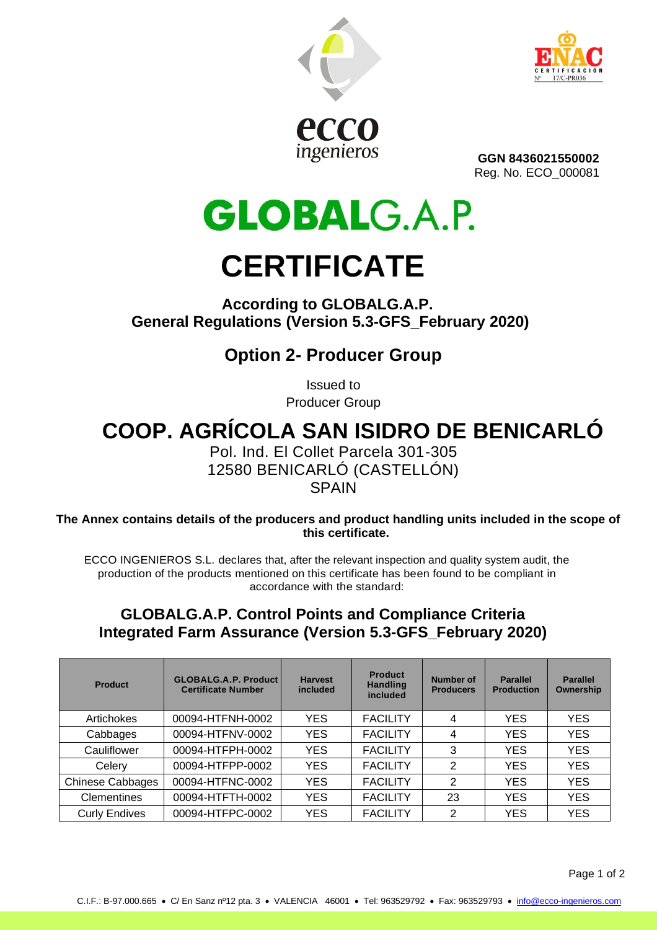



**GGN 8436021550002** Reg. No. ECO\_000081

**GLOBALG.A.P. CERTIFICATE**

#### **According to GLOBALG.A.P. General Regulations (Version 5.3-GFS\_February 2020)**

### **Option 2- Producer Group**

Issued to Producer Group

# **COOP. AGRÍCOLA SAN ISIDRO DE BENICARLÓ**

Pol. Ind. El Collet Parcela 301-305 12580 BENICARLÓ (CASTELLÓN) **SPAIN** 

**The Annex contains details of the producers and product handling units included in the scope of this certificate.**

ECCO INGENIEROS S.L. declares that, after the relevant inspection and quality system audit, the production of the products mentioned on this certificate has been found to be compliant in accordance with the standard:

#### **GLOBALG.A.P. Control Points and Compliance Criteria Integrated Farm Assurance (Version 5.3-GFS\_February 2020)**

| Product                 | <b>GLOBALG.A.P. Product</b><br><b>Certificate Number</b> | <b>Harvest</b><br>included | <b>Product</b><br><b>Handling</b><br>included | Number of<br><b>Producers</b> | <b>Parallel</b><br><b>Production</b> | <b>Parallel</b><br>Ownership |
|-------------------------|----------------------------------------------------------|----------------------------|-----------------------------------------------|-------------------------------|--------------------------------------|------------------------------|
| Artichokes              | 00094-HTFNH-0002                                         | <b>YES</b>                 | <b>FACILITY</b>                               | 4                             | YES                                  | <b>YES</b>                   |
| Cabbages                | 00094-HTFNV-0002                                         | <b>YES</b>                 | <b>FACILITY</b>                               | 4                             | <b>YES</b>                           | <b>YES</b>                   |
| Cauliflower             | 00094-HTFPH-0002                                         | <b>YES</b>                 | <b>FACILITY</b>                               | 3                             | <b>YES</b>                           | <b>YES</b>                   |
| Celery                  | 00094-HTFPP-0002                                         | <b>YES</b>                 | <b>FACILITY</b>                               | $\mathfrak{p}$                | <b>YES</b>                           | <b>YES</b>                   |
| <b>Chinese Cabbages</b> | 00094-HTFNC-0002                                         | <b>YES</b>                 | <b>FACILITY</b>                               | 2                             | <b>YES</b>                           | <b>YES</b>                   |
| <b>Clementines</b>      | 00094-HTFTH-0002                                         | <b>YES</b>                 | <b>FACILITY</b>                               | 23                            | YES                                  | <b>YES</b>                   |
| <b>Curly Endives</b>    | 00094-HTFPC-0002                                         | <b>YES</b>                 | <b>FACILITY</b>                               | 2                             | YES                                  | <b>YES</b>                   |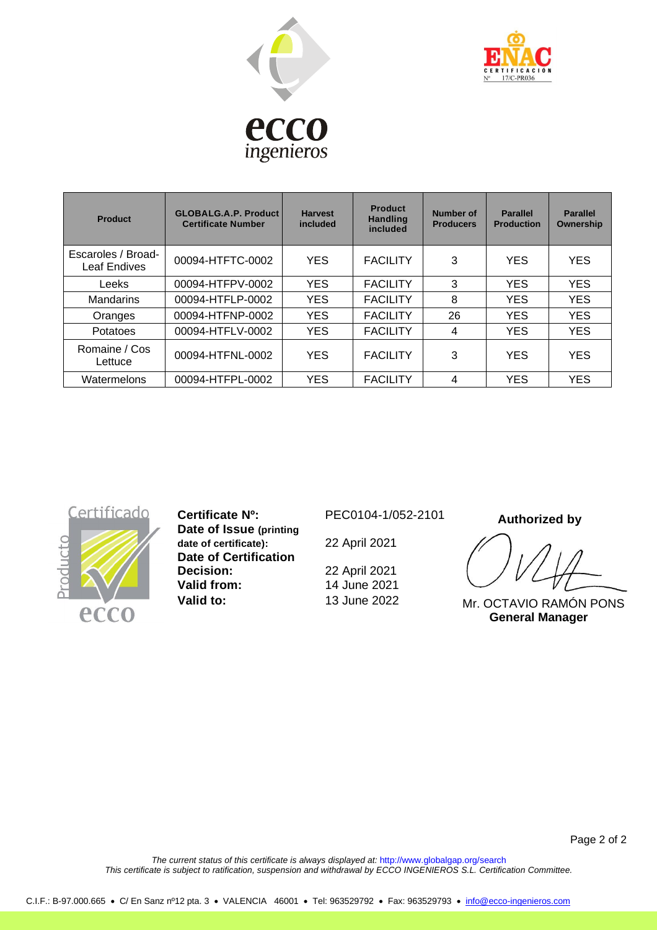



| Product                            | <b>GLOBALG.A.P. Product</b><br><b>Certificate Number</b> | <b>Harvest</b><br>included | <b>Product</b><br><b>Handling</b><br>included | Number of<br><b>Producers</b> | <b>Parallel</b><br><b>Production</b> | <b>Parallel</b><br>Ownership |
|------------------------------------|----------------------------------------------------------|----------------------------|-----------------------------------------------|-------------------------------|--------------------------------------|------------------------------|
| Escaroles / Broad-<br>Leaf Endives | 00094-HTFTC-0002                                         | <b>YES</b>                 | <b>FACILITY</b>                               | 3                             | <b>YES</b>                           | <b>YES</b>                   |
| Leeks                              | 00094-HTFPV-0002                                         | <b>YES</b>                 | <b>FACILITY</b>                               | 3                             | <b>YES</b>                           | <b>YES</b>                   |
| <b>Mandarins</b>                   | 00094-HTFLP-0002                                         | <b>YES</b>                 | <b>FACILITY</b>                               | 8                             | <b>YES</b>                           | <b>YES</b>                   |
| Oranges                            | 00094-HTFNP-0002                                         | <b>YES</b>                 | <b>FACILITY</b>                               | 26                            | <b>YES</b>                           | <b>YES</b>                   |
| Potatoes                           | 00094-HTFLV-0002                                         | <b>YES</b>                 | <b>FACILITY</b>                               | 4                             | <b>YES</b>                           | <b>YES</b>                   |
| Romaine / Cos<br>Lettuce           | 00094-HTFNL-0002                                         | <b>YES</b>                 | <b>FACILITY</b>                               | 3                             | <b>YES</b>                           | <b>YES</b>                   |
| Watermelons                        | 00094-HTFPL-0002                                         | <b>YES</b>                 | <b>FACILITY</b>                               | 4                             | <b>YES</b>                           | <b>YES</b>                   |



**Certificate Nº:** PEC0104-1/052-2101 **Date of Issue (printing date of certificate):** 22 April 2021 **Date of Certification Decision:** 22 April 2021<br> **Valid from:** 14 June 2021 **Valid to:** 13 June 2022

**Valid from:** 14 June 2021

 **Authorized by**

Mr. OCTAVIO RAMÓN PONS  **General Manager**

*The current status of this certificate is always displayed at:* http://www.globalgap.org/search *This certificate is subject to ratification, suspension and withdrawal by ECCO INGENIEROS S.L. Certification Committee.*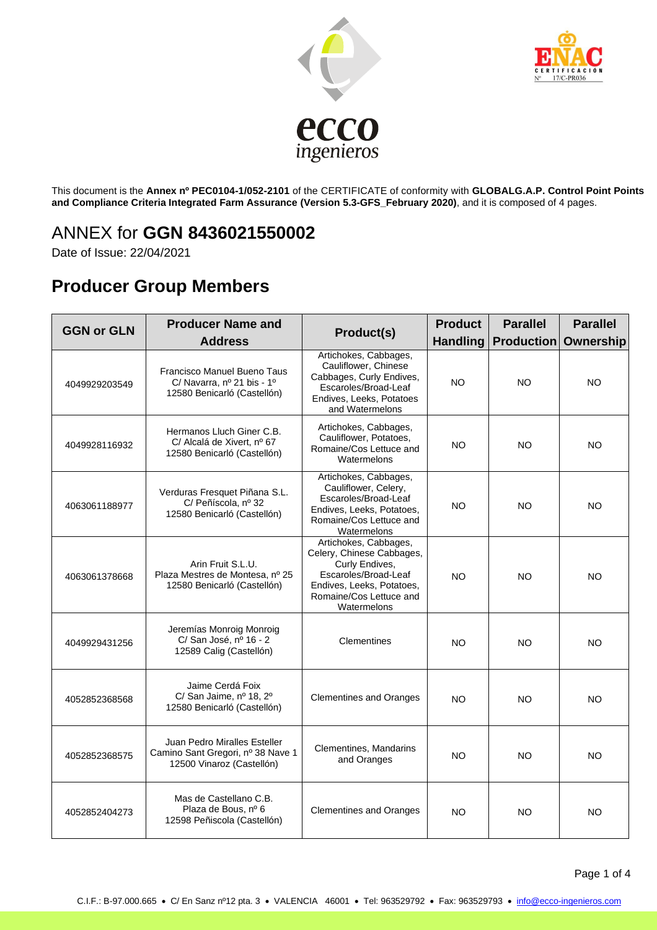



This document is the **Annex nº PEC0104-1/052-2101** of the CERTIFICATE of conformity with **GLOBALG.A.P. Control Point Points and Compliance Criteria Integrated Farm Assurance (Version 5.3-GFS\_February 2020)**, and it is composed of 4 pages.

#### ANNEX for **GGN 8436021550002**

Date of Issue: 22/04/2021

### **Producer Group Members**

| <b>GGN or GLN</b> | <b>Producer Name and</b><br><b>Address</b>                                                     | Product(s)                                                                                                                                                          | <b>Product</b><br><b>Handling</b> | <b>Parallel</b><br><b>Production Ownership</b> | <b>Parallel</b> |
|-------------------|------------------------------------------------------------------------------------------------|---------------------------------------------------------------------------------------------------------------------------------------------------------------------|-----------------------------------|------------------------------------------------|-----------------|
| 4049929203549     | Francisco Manuel Bueno Taus<br>C/ Navarra, nº 21 bis - 1º<br>12580 Benicarló (Castellón)       | Artichokes, Cabbages,<br>Cauliflower, Chinese<br>Cabbages, Curly Endives,<br>Escaroles/Broad-Leaf<br>Endives, Leeks, Potatoes<br>and Watermelons                    | <b>NO</b>                         | NO                                             | NO              |
| 4049928116932     | Hermanos Lluch Giner C.B.<br>C/ Alcalá de Xivert, nº 67<br>12580 Benicarló (Castellón)         | Artichokes, Cabbages,<br>Cauliflower, Potatoes,<br>Romaine/Cos Lettuce and<br>Watermelons                                                                           | NO.                               | NO                                             | NO              |
| 4063061188977     | Verduras Fresquet Piñana S.L.<br>C/ Peñíscola, nº 32<br>12580 Benicarló (Castellón)            | Artichokes, Cabbages,<br>Cauliflower, Celery,<br>Escaroles/Broad-Leaf<br>Endives, Leeks, Potatoes,<br>Romaine/Cos Lettuce and<br>Watermelons                        | <b>NO</b>                         | NO.                                            | <b>NO</b>       |
| 4063061378668     | Arin Fruit S.L.U.<br>Plaza Mestres de Montesa, nº 25<br>12580 Benicarló (Castellón)            | Artichokes, Cabbages,<br>Celery, Chinese Cabbages,<br>Curly Endives,<br>Escaroles/Broad-Leaf<br>Endives, Leeks, Potatoes,<br>Romaine/Cos Lettuce and<br>Watermelons | <b>NO</b>                         | <b>NO</b>                                      | <b>NO</b>       |
| 4049929431256     | Jeremías Monroig Monroig<br>C/ San José, nº 16 - 2<br>12589 Calig (Castellón)                  | Clementines                                                                                                                                                         | NO.                               | NO                                             | NO              |
| 4052852368568     | Jaime Cerdá Foix<br>C/ San Jaime, nº 18, 2º<br>12580 Benicarló (Castellón)                     | <b>Clementines and Oranges</b>                                                                                                                                      | <b>NO</b>                         | NO.                                            | <b>NO</b>       |
| 4052852368575     | Juan Pedro Miralles Esteller<br>Camino Sant Gregori, nº 38 Nave 1<br>12500 Vinaroz (Castellón) | Clementines, Mandarins<br>and Oranges                                                                                                                               | <b>NO</b>                         | NO.                                            | <b>NO</b>       |
| 4052852404273     | Mas de Castellano C.B.<br>Plaza de Bous, nº 6<br>12598 Peñiscola (Castellón)                   | <b>Clementines and Oranges</b>                                                                                                                                      | <b>NO</b>                         | <b>NO</b>                                      | <b>NO</b>       |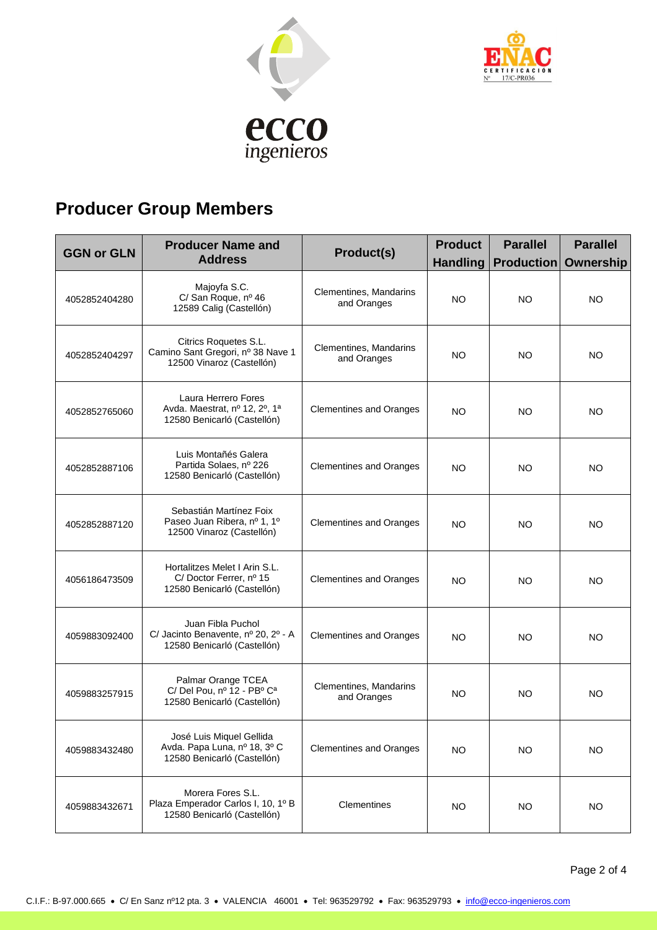



# **Producer Group Members**

| <b>GGN or GLN</b> | <b>Producer Name and</b><br><b>Address</b>                                              | Product(s)                            | <b>Product</b><br><b>Handling</b> | <b>Parallel</b><br><b>Production Ownership</b> | <b>Parallel</b> |
|-------------------|-----------------------------------------------------------------------------------------|---------------------------------------|-----------------------------------|------------------------------------------------|-----------------|
| 4052852404280     | Majoyfa S.C.<br>C/ San Roque, nº 46<br>12589 Calig (Castellón)                          | Clementines, Mandarins<br>and Oranges | NO.                               | <b>NO</b>                                      | NO              |
| 4052852404297     | Citrics Roquetes S.L.<br>Camino Sant Gregori, nº 38 Nave 1<br>12500 Vinaroz (Castellón) | Clementines, Mandarins<br>and Oranges | NO.                               | NO.                                            | NO.             |
| 4052852765060     | Laura Herrero Fores<br>Avda. Maestrat, nº 12, 2º, 1ª<br>12580 Benicarló (Castellón)     | <b>Clementines and Oranges</b>        | NO                                | NO.                                            | NO              |
| 4052852887106     | Luis Montañés Galera<br>Partida Solaes, nº 226<br>12580 Benicarló (Castellón)           | <b>Clementines and Oranges</b>        | NO.                               | NO.                                            | NO.             |
| 4052852887120     | Sebastián Martínez Foix<br>Paseo Juan Ribera, nº 1, 1º<br>12500 Vinaroz (Castellón)     | <b>Clementines and Oranges</b>        | NO.                               | NO.                                            | NO              |
| 4056186473509     | Hortalitzes Melet I Arin S.L.<br>C/Doctor Ferrer, nº 15<br>12580 Benicarló (Castellón)  | <b>Clementines and Oranges</b>        | NO.                               | NO.                                            | NO              |
| 4059883092400     | Juan Fibla Puchol<br>C/ Jacinto Benavente, nº 20, 2º - A<br>12580 Benicarló (Castellón) | <b>Clementines and Oranges</b>        | NO.                               | NO.                                            | NO.             |
| 4059883257915     | Palmar Orange TCEA<br>C/ Del Pou, nº 12 - PBº Cª<br>12580 Benicarló (Castellón)         | Clementines, Mandarins<br>and Oranges | NO.                               | NO.                                            | NO              |
| 4059883432480     | José Luis Miquel Gellida<br>Avda. Papa Luna, nº 18, 3º C<br>12580 Benicarló (Castellón) | <b>Clementines and Oranges</b>        | NO.                               | NO.                                            | NO              |
| 4059883432671     | Morera Fores S.L.<br>Plaza Emperador Carlos I, 10, 1º B<br>12580 Benicarló (Castellón)  | Clementines                           | <b>NO</b>                         | <b>NO</b>                                      | <b>NO</b>       |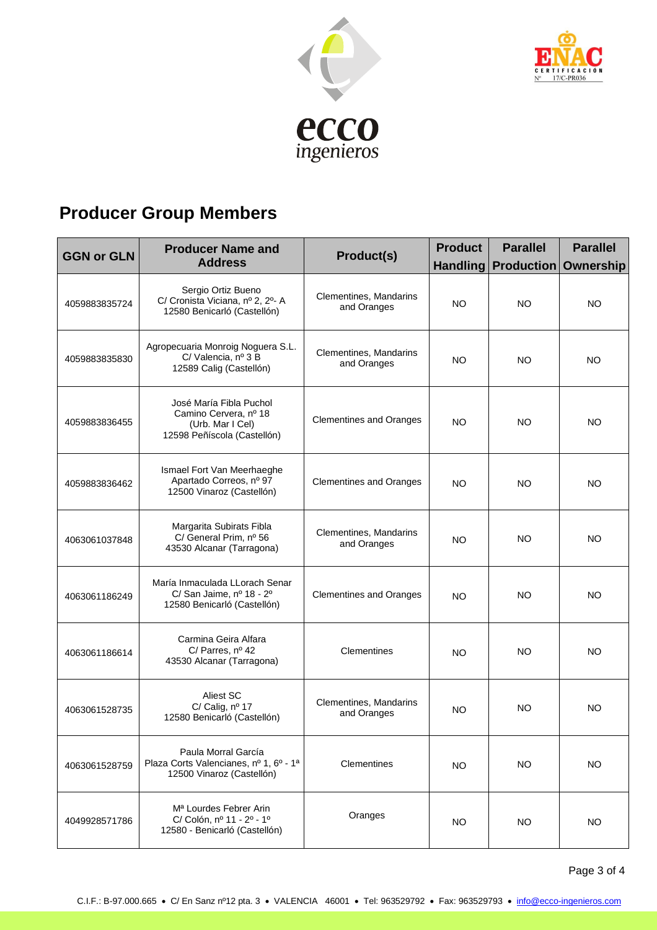



# **Producer Group Members**

| <b>GGN or GLN</b> | <b>Producer Name and</b><br><b>Address</b>                                                          | <b>Product(s)</b>                     | <b>Product</b> | <b>Parallel</b><br>Handling Production Ownership | <b>Parallel</b> |
|-------------------|-----------------------------------------------------------------------------------------------------|---------------------------------------|----------------|--------------------------------------------------|-----------------|
| 4059883835724     | Sergio Ortiz Bueno<br>C/ Cronista Viciana, nº 2, 2º- A<br>12580 Benicarló (Castellón)               | Clementines, Mandarins<br>and Oranges | <b>NO</b>      | NO                                               | NO              |
| 4059883835830     | Agropecuaria Monroig Noguera S.L.<br>C/Valencia, nº 3 B<br>12589 Calig (Castellón)                  | Clementines, Mandarins<br>and Oranges | NO.            | NO                                               | <b>NO</b>       |
| 4059883836455     | José María Fibla Puchol<br>Camino Cervera, nº 18<br>(Urb. Mar I Cel)<br>12598 Peñíscola (Castellón) | <b>Clementines and Oranges</b>        | NO.            | NO.                                              | NO              |
| 4059883836462     | Ismael Fort Van Meerhaeghe<br>Apartado Correos, nº 97<br>12500 Vinaroz (Castellón)                  | <b>Clementines and Oranges</b>        | NO.            | NO                                               | <b>NO</b>       |
| 4063061037848     | Margarita Subirats Fibla<br>C/ General Prim, nº 56<br>43530 Alcanar (Tarragona)                     | Clementines, Mandarins<br>and Oranges | <b>NO</b>      | NO                                               | NO              |
| 4063061186249     | María Inmaculada LLorach Senar<br>C/ San Jaime, nº 18 - 2º<br>12580 Benicarló (Castellón)           | <b>Clementines and Oranges</b>        | <b>NO</b>      | NO                                               | NO              |
| 4063061186614     | Carmina Geira Alfara<br>C/ Parres, $n^{\circ}$ 42<br>43530 Alcanar (Tarragona)                      | Clementines                           | <b>NO</b>      | NO                                               | <b>NO</b>       |
| 4063061528735     | Aliest SC<br>C/ Calig, nº 17<br>12580 Benicarló (Castellón)                                         | Clementines, Mandarins<br>and Oranges | NO             | NO                                               | NO              |
| 4063061528759     | Paula Morral García<br>Plaza Corts Valencianes, nº 1, 6º - 1ª<br>12500 Vinaroz (Castellón)          | Clementines                           | <b>NO</b>      | NO.                                              | NO.             |
| 4049928571786     | M <sup>a</sup> Lourdes Febrer Arin<br>C/ Colón, nº 11 - 2º - 1º<br>12580 - Benicarló (Castellón)    | Oranges                               | <b>NO</b>      | NO.                                              | <b>NO</b>       |

Page 3 of 4